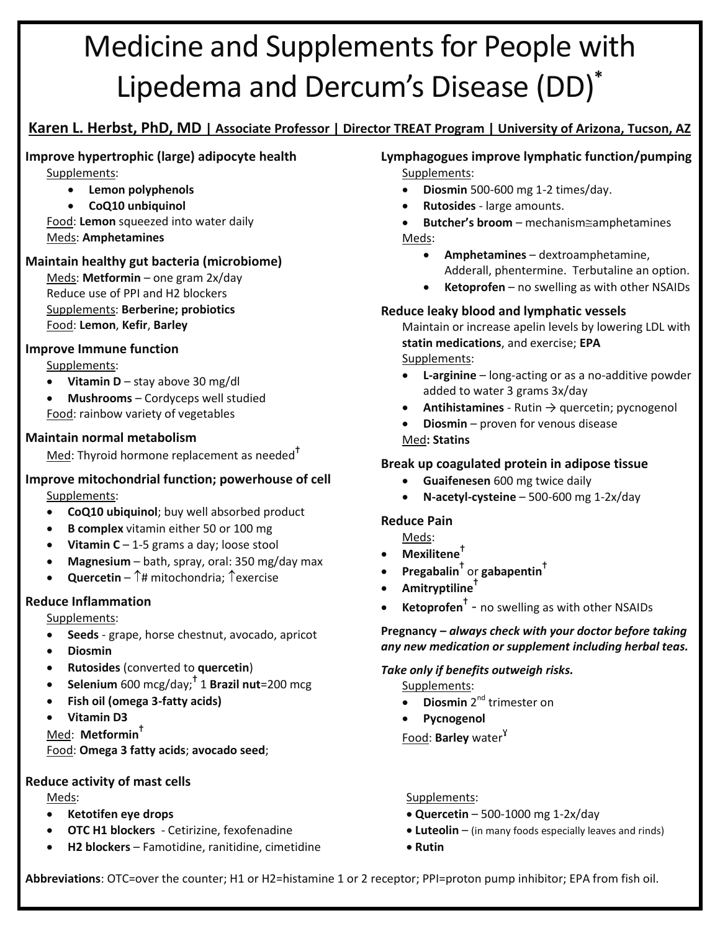# Medicine and Supplements for People with Lipedema and Dercum's Disease (DD)**\***

## **Karen L. Herbst, PhD, MD | Associate Professor | Director TREAT Program | University of Arizona, Tucson, AZ**

#### **Improve hypertrophic (large) adipocyte health** Supplements:

**Lemon polyphenols**

## **CoQ10 unbiquinol**

Food: **Lemon** squeezed into water daily Meds: **Amphetamines**

#### **Maintain healthy gut bacteria (microbiome)**

Meds: **Metformin** – one gram 2x/day Reduce use of PPI and H2 blockers Supplements: **Berberine; probiotics** Food: **Lemon**, **Kefir**, **Barley**

#### **Improve Immune function**

Supplements:

- **Vitamin D** stay above 30 mg/dl
- **Mushrooms** Cordyceps well studied Food: rainbow variety of vegetables

#### **Maintain normal metabolism**

Med: Thyroid hormone replacement as needed $<sup>T</sup>$ </sup>

#### **Improve mitochondrial function; powerhouse of cell** Supplements:

- **CoQ10 ubiquinol**; buy well absorbed product
- **B complex** vitamin either 50 or 100 mg
- **Vitamin C** 1-5 grams a day; loose stool
- **Magnesium** bath, spray, oral: 350 mg/day max
- **Quercetin**  $\uparrow \#$  mitochondria:  $\uparrow$  exercise

## **Reduce Inflammation**

Supplements:

- **Seeds** grape, horse chestnut, avocado, apricot
- **Diosmin**
- **Rutosides** (converted to **quercetin**)
- **Selenium** 600 mcg/day;<sup>†</sup> 1 **Brazil nut**=200 mcg
- **Fish oil (omega 3-fatty acids)**
- **Vitamin D3**

Med: **Metformin**<sup>=</sup>

Food: **Omega 3 fatty acids**; **avocado seed**;

## **Reduce activity of mast cells**

- 
- 
- **H2 blockers** Famotidine, ranitidine, cimetidine **and the Rutin Rutin**

#### **Lymphagogues improve lymphatic function/pumping** Supplements:

- **Diosmin** 500-600 mg 1-2 times/day.
- **Rutosides** large amounts.
- **Butcher's broom** mechanisme amphetamines Meds:
	- **Amphetamines** dextroamphetamine, Adderall, phentermine. Terbutaline an option.
	- **Ketoprofen** no swelling as with other NSAIDs

## **Reduce leaky blood and lymphatic vessels**

Maintain or increase apelin levels by lowering LDL with **statin medications**, and exercise; **EPA** Supplements:

- **L-arginine** long-acting or as a no-additive powder added to water 3 grams 3x/day
- **Antihistamines** Rutin → quercetin; pycnogenol
- **Diosmin** proven for venous disease Med**: Statins**

## **Break up coagulated protein in adipose tissue**

- **Guaifenesen** 600 mg twice daily
- **N-acetyl-cysteine** 500-600 mg 1-2x/day

## **Reduce Pain**

- Meds:
- **Mexilitene**<sup>=</sup>
- **•** Pregabalin<sup>†</sup> or gabapentin<sup>†</sup>
- **•** Amitryptiline<sup>†</sup>
- **Ketoprofen<sup>†</sup>** no swelling as with other NSAIDs

**Pregnancy –** *always check with your doctor before taking any new medication or supplement including herbal teas.* 

#### *Take only if benefits outweigh risks.*

Supplements:

- **•** Diosmin 2<sup>nd</sup> trimester on
- **Pycnogenol**

Food: **Barley** water ɣ

Meds: Supplements: Supplements: Supplements: Supplements: Supplements: Supplements: Supplements: Supplements: Supplements: Supplements: Supplements: Supplements: Supplements: Supplements: Supplements: Supplements: Suppleme

- **Ketotifen eye drops Quercetin** 500-1000 mg 1-2x/day
- **OTC H1 blockers** Cetirizine, fexofenadine **block and rinds example 20 luteolin** (in many foods especially leaves and rinds)
	-

**Abbreviations**: OTC=over the counter; H1 or H2=histamine 1 or 2 receptor; PPI=proton pump inhibitor; EPA from fish oil.